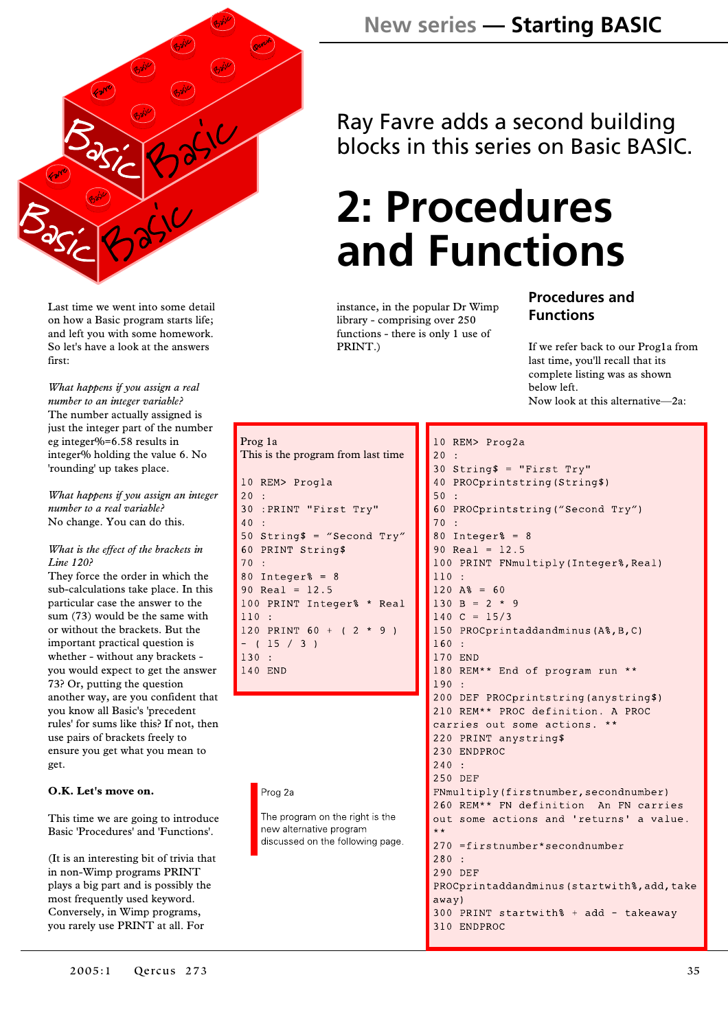

Last time we went into some detail on how a Basic program starts life; and left you with some homework. So let's have a look at the answers first:

*What happens if you assign a real number to an integer variable?* The number actually assigned is just the integer part of the number eg integer%=6.58 results in integer% holding the value 6. No 'rounding' up takes place.

*What happens if you assign an integer number to a real variable?* No change. You can do this.

#### *What is the effect of the brackets in Line 120?*

They force the order in which the sub-calculations take place. In this particular case the answer to the sum (73) would be the same with or without the brackets. But the important practical question is whether - without any brackets you would expect to get the answer 73? Or, putting the question another way, are you confident that you know all Basic's 'precedent rules' for sums like this? If not, then use pairs of brackets freely to ensure you get what you mean to get.

#### **O.K. Let's move on.**

This time we are going to introduce Basic 'Procedures' and 'Functions'.

(It is an interesting bit of trivia that in non-Wimp programs PRINT plays a big part and is possibly the most frequently used keyword. Conversely, in Wimp programs, you rarely use PRINT at all. For

### **New series — Starting BASIC**

Ray Favre adds a second building blocks in this series on Basic BASIC.

## **2: Procedures and Functions**

instance, in the popular Dr Wimp library - comprising over 250 functions - there is only 1 use of PRINT.)

#### **Procedures and Functions**

If we refer back to our Prog1a from last time, you'll recall that its complete listing was as shown below left. Now look at this alternative—2a:

```
Prog 1a
This is the program from last time10 REM> Progla
20:30 :PRINT "First Try"
40:50 String$ = "Second Try"
60 PRINT String$
70
   \ddot{\phantom{1}}80 Integer% = 890 Real = 12.5100 PRINT Integer% * Real
110:120 PRINT 60 + ( 2 * 9 )
- (15 / 3)
130 -140 END
```
#### Prog 2a

The program on the right is the new alternative program discussed on the following page.

```
10 REM> Prog2a
20:30 String$ = "First Try"
40 PROCprintstring (String$)
50:60 PROCprintstring ("Second Try")
70:80 Integer% = 890 Real = 12.5100 PRINT FNmultiply (Integer%, Real)
110:120 A% = 60
130 B = 2 * 9140 \text{ C} = 15/3150 PROCprintaddandminus (A%, B, C)
160:170 END
180 REM** End of program run **
190:200 DEF PROCprintstring (anystring$)
210 REM** PROC definition. A PROC
carries out some actions. **
220 PRINT anystring$
230 ENDPROC
240:250 DEF
FNmultiply (firstnumber, secondnumber)
260 REM** FN definition An FN carries
out some actions and 'returns' a value.
270 =firstnumber*secondnumber
280:290 DEF
PROCprintaddandminus (startwith%, add, take
away)300 PRINT startwith% + add - takeaway
310 ENDPROC
```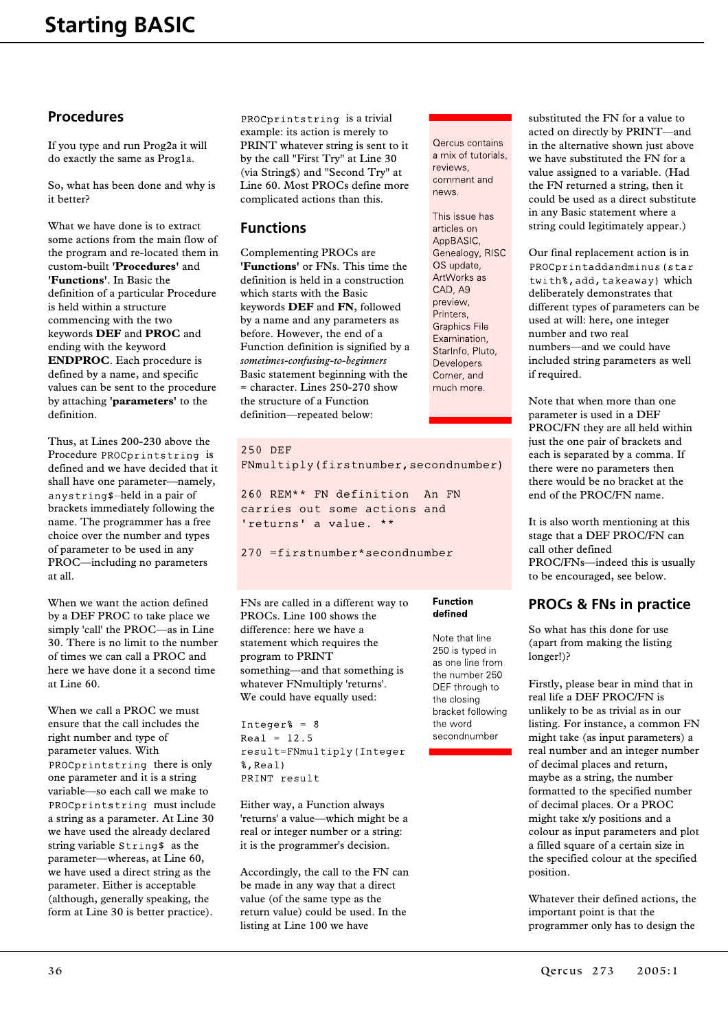#### **Procedures**

If you type and run Prog2a it will do exactly the same as Prog1a.

So, what has been done and why is it better?

What we have done is to extract some actions from the main flow of the program and re-located them in custom-built **'Procedures'** and **'Functions'**. In Basic the definition of a particular Procedure is held within a structure commencing with the two keywords **DEF** and **PROC** and ending with the keyword **ENDPROC**. Each procedure is defined by a name, and specific values can be sent to the procedure by attaching **'parameters'** to the definition.

Thus, at Lines 200-230 above the Procedure PROCprintstring is defined and we have decided that it shall have one parameter—namely, anystring\$-held in a pair of brackets immediately following the name. The programmer has a free choice over the number and types of parameter to be used in any PROC—including no parameters at all.

When we want the action defined by a DEF PROC to take place we simply 'call' the PROC—as in Line 30. There is no limit to the number of times we can call a PROC and here we have done it a second time at Line 60.

When we call a PROC we must ensure that the call includes the right number and type of parameter values. With PROCprintstring there is only one parameter and it is a string variable—so each call we make to PROCprintstring must include a string as a parameter. At Line 30 we have used the already declared string variable  $String$  as the parameter—whereas, at Line 60, we have used a direct string as the parameter. Either is acceptable (although, generally speaking, the form at Line 30 is better practice).

PROCprintstring is a trivial example: its action is merely to PRINT whatever string is sent to it by the call "First Try" at Line 30 (via String\$) and "Second Try" at Line 60. Most PROCs define more complicated actions than this.

#### **Functions**

Complementing PROCs are **'Functions'** or FNs. This time the definition is held in a construction which starts with the Basic keywords **DEF** and **FN**, followed by a name and any parameters as before. However, the end of a Function definition is signified by a *sometimes-confusing-to-beginners* Basic statement beginning with the = character. Lines 250-270 show the structure of a Function definition—repeated below:

#### 250 DEF

FNmultiply(firstnumber, secondnumber)

260 REM\*\* FN definition An FN carries out some actions and 'returns' a value. \*\*

270 =firstnumber\*secondnumber

FNs are called in a different way to PROCs. Line 100 shows the difference: here we have a statement which requires the program to PRINT something—and that something is whatever FNmultiply 'returns'. We could have equally used:

Integer% =  $8$  $Real = 12.5$ result=FNmultiply(Integer %, Real) PRINT result

Either way, a Function always 'returns' a value—which might be a real or integer number or a string: it is the programmer's decision.

Accordingly, the call to the FN can be made in any way that a direct value (of the same type as the return value) could be used. In the listing at Line 100 we have

Qercus contains a mix of tutorials, reviews. comment and news.

This issue has articles on AppBASIC, Genealogy, RISC OS update. ArtWorks as CAD, A9 preview, Printers. **Graphics File** Examination, StarInfo, Pluto, Developers Corner, and much more.

**Function** defined

the word secondnumber

Note that line 250 is typed in as one line from the number 250 DEF through to the closing bracket following substituted the FN for a value to acted on directly by PRINT—and in the alternative shown just above we have substituted the FN for a value assigned to a variable. (Had the FN returned a string, then it could be used as a direct substitute in any Basic statement where a string could legitimately appear.)

Our final replacement action is in PROCprintaddandminus (star twith%, add, takeaway) which deliberately demonstrates that different types of parameters can be used at will: here, one integer number and two real numbers—and we could have included string parameters as well if required.

Note that when more than one parameter is used in a DEF PROC/FN they are all held within just the one pair of brackets and each is separated by a comma. If there were no parameters then there would be no bracket at the end of the PROC/FN name.

It is also worth mentioning at this stage that a DEF PROC/FN can call other defined PROC/FNs—indeed this is usually to be encouraged, see below.

#### **PROCs & FNs in practice**

So what has this done for use (apart from making the listing longer!)?

Firstly, please bear in mind that in real life a DEF PROC/FN is unlikely to be as trivial as in our listing. For instance, a common FN might take (as input parameters) a real number and an integer number of decimal places and return, maybe as a string, the number formatted to the specified number of decimal places. Or a PROC might take x/y positions and a colour as input parameters and plot a filled square of a certain size in the specified colour at the specified position.

Whatever their defined actions, the important point is that the programmer only has to design the